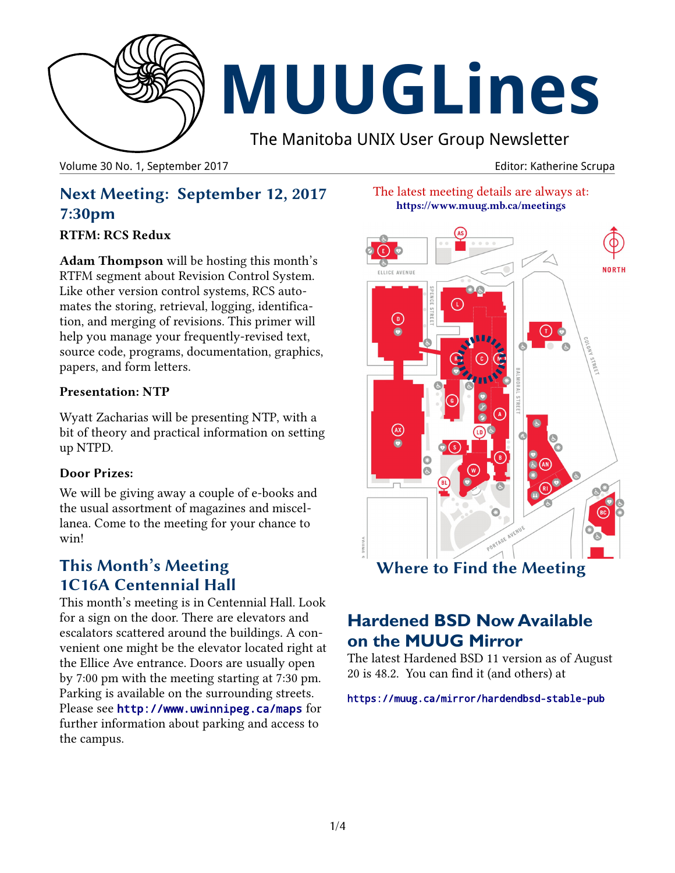

# **MUUGLines**

The Manitoba UNIX User Group Newsletter

Volume 30 No. 1, September 2017 Editor: Katherine Scrupa

# **Next Meeting: September 12, 2017 7:30pm**

#### **RTFM: RCS Redux**

**Adam Thompson** will be hosting this month's RTFM segment about Revision Control System. Like other version control systems, RCS automates the storing, retrieval, logging, identification, and merging of revisions. This primer will help you manage your frequently-revised text, source code, programs, documentation, graphics, papers, and form letters.

#### **Presentation: NTP**

Wyatt Zacharias will be presenting NTP, with a bit of theory and practical information on setting up NTPD.

#### **Door Prizes:**

We will be giving away a couple of e-books and the usual assortment of magazines and miscellanea. Come to the meeting for your chance to win!

# **This Month's Meeting 1C16A Centennial Hall**

This month's meeting is in Centennial Hall. Look for a sign on the door. There are elevators and escalators scattered around the buildings. A convenient one might be the elevator located right at the Ellice Ave entrance. Doors are usually open by 7:00 pm with the meeting starting at 7:30 pm. Parking is available on the surrounding streets. Please see <http://www.uwinnipeg.ca/maps> for further information about parking and access to the campus.

The latest meeting details are always at: **<https://www.muug.mb.ca/meetings>**



**Where to Find the Meeting**

# **Hardened BSD Now Available on the MUUG Mirror**

The latest Hardened BSD 11 version as of August 20 is 48.2. You can find it (and others) at

#### <https://muug.ca/mirror/hardendbsd-stable-pub>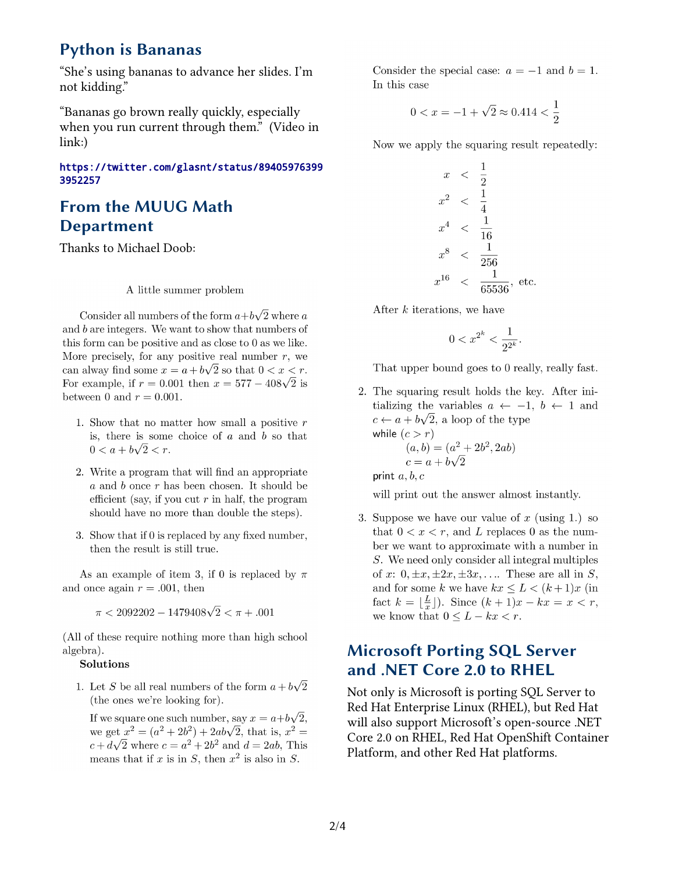### **Python is Bananas**

"She's using bananas to advance her slides. I'm not kidding."

"Bananas go brown really quickly, especially when you run current through them." (Video in link:)

#### [https://twitter.com/glasnt/status/89405976399](https://twitter.com/glasnt/status/894059763993952257) [3952257](https://twitter.com/glasnt/status/894059763993952257)

## **From the MUUG Math Department**

Thanks to Michael Doob:

A little summer problem

Consider all numbers of the form  $a+b\sqrt{2}$  where a and  $b$  are integers. We want to show that numbers of this form can be positive and as close to 0 as we like. More precisely, for any positive real number  $r$ , we can alway find some  $x = a + b\sqrt{2}$  so that  $0 < x < r$ . For example, if  $r = 0.001$  then  $x = 577 - 408\sqrt{2}$  is between 0 and  $r = 0.001$ .

- 1. Show that no matter how small a positive  $r$ is, there is some choice of  $a$  and  $b$  so that  $0 < a + b\sqrt{2} < r.$
- 2. Write a program that will find an appropriate  $a$  and  $b$  once  $r$  has been chosen. It should be efficient (say, if you cut  $r$  in half, the program should have no more than double the steps).
- 3. Show that if 0 is replaced by any fixed number, then the result is still true.

As an example of item 3, if 0 is replaced by  $\pi$ and once again  $r = .001$ , then

 $\pi < 2092202 - 1479408\sqrt{2} < \pi + .001$ 

(All of these require nothing more than high school algebra).

#### Solutions

1. Let S be all real numbers of the form  $a + b\sqrt{2}$ (the ones we're looking for).

If we square one such number, say  $x = a+b\sqrt{2}$ , we get  $x^2 = (a^2 + 2b^2) + 2ab\sqrt{2}$ , that is,  $x^2 =$  $c + d\sqrt{2}$  where  $c = a^2 + 2b^2$  and  $d = 2ab$ , This means that if x is in S, then  $x^2$  is also in S.

Consider the special case:  $a = -1$  and  $b = 1$ . In this case

$$
0 < x = -1 + \sqrt{2} \approx 0.414 < \frac{1}{2}
$$

Now we apply the squaring result repeatedly:

$$
x < \frac{1}{2}
$$
  
\n
$$
x^{2} < \frac{1}{4}
$$
  
\n
$$
x^{4} < \frac{1}{16}
$$
  
\n
$$
x^{8} < \frac{1}{256}
$$
  
\n
$$
x^{16} < \frac{1}{65536}
$$
, etc.

After  $k$  iterations, we have

$$
0
$$

That upper bound goes to 0 really, really fast.

2. The squaring result holds the key. After initializing the variables  $a \leftarrow -1, b \leftarrow 1$  and  $c \leftarrow a + b\sqrt{2}$ , a loop of the type while  $(c > r)$ 

$$
(a, b) = (a2 + 2b2, 2ab)
$$
  

$$
c = a + b\sqrt{2}
$$

print  $a, b, c$ 

will print out the answer almost instantly.

3. Suppose we have our value of x (using 1.) so that  $0 < x < r$ , and L replaces 0 as the number we want to approximate with a number in S. We need only consider all integral multiples of x:  $0, \pm x, \pm 2x, \pm 3x, \ldots$  These are all in S, and for some k we have  $kx \leq L < (k+1)x$  (in fact  $k = \lfloor \frac{L}{x} \rfloor$ . Since  $(k+1)x - kx = x < r$ , we know that  $0 \leq L - kx < r$ .

## **Microsoft Porting SQL Server and .NET Core 2.0 to RHEL**

Not only is Microsoft is porting SQL Server to Red Hat Enterprise Linux (RHEL), but Red Hat will also support Microsoft's open-source .NET Core 2.0 on RHEL, Red Hat OpenShift Container Platform, and other Red Hat platforms.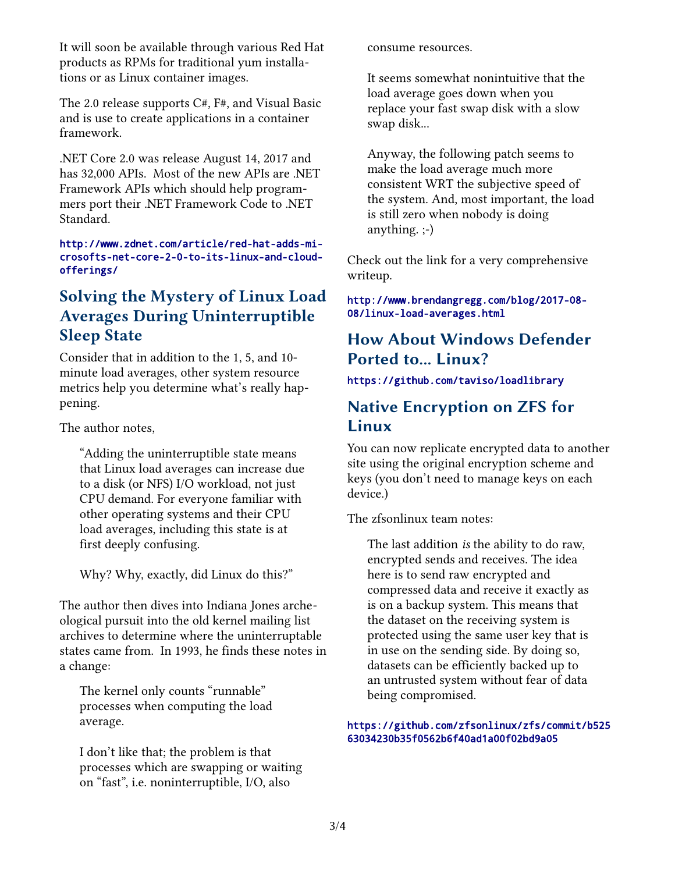It will soon be available through various Red Hat products as RPMs for traditional yum installations or as Linux container images.

The 2.0 release supports C#, F#, and Visual Basic and is use to create applications in a container framework.

.NET Core 2.0 was release August 14, 2017 and has 32,000 APIs. Most of the new APIs are .NET Framework APIs which should help programmers port their .NET Framework Code to .NET Standard.

#### http://www.zdnet.com/article/red-hat-adds-microsofts-net-core-2-0-to-its-linux-and-cloudofferings/

# **Solving the Mystery of Linux Load Averages During Uninterruptible Sleep State**

Consider that in addition to the 1, 5, and 10 minute load averages, other system resource metrics help you determine what's really happening.

The author notes,

"Adding the uninterruptible state means that Linux load averages can increase due to a disk (or NFS) I/O workload, not just CPU demand. For everyone familiar with other operating systems and their CPU load averages, including this state is at first deeply confusing.

Why? Why, exactly, did Linux do this?"

The author then dives into Indiana Jones archeological pursuit into the old kernel mailing list archives to determine where the uninterruptable states came from. In 1993, he finds these notes in a change:

The kernel only counts "runnable" processes when computing the load average.

I don't like that; the problem is that processes which are swapping or waiting on "fast", i.e. noninterruptible, I/O, also

consume resources.

It seems somewhat nonintuitive that the load average goes down when you replace your fast swap disk with a slow swap disk...

Anyway, the following patch seems to make the load average much more consistent WRT the subjective speed of the system. And, most important, the load is still zero when nobody is doing anything. ;-)

Check out the link for a very comprehensive writeup.

#### http://www.brendangregg.com/blog/2017-08- 08/linux-load-averages.html

# **How About Windows Defender Ported to... Linux?**

#### https://github.com/taviso/loadlibrary

## **Native Encryption on ZFS for Linux**

You can now replicate encrypted data to another site using the original encryption scheme and keys (you don't need to manage keys on each device.)

The zfsonlinux team notes:

The last addition *is* the ability to do raw, encrypted sends and receives. The idea here is to send raw encrypted and compressed data and receive it exactly as is on a backup system. This means that the dataset on the receiving system is protected using the same user key that is in use on the sending side. By doing so, datasets can be efficiently backed up to an untrusted system without fear of data being compromised.

#### [https://github.com/zfsonlinux/zfs/commit/b525](https://github.com/zfsonlinux/zfs/commit/b52563034230b35f0562b6f40ad1a00f02bd9a05) [63034230b35f0562b6f40ad1a00f02bd9a05](https://github.com/zfsonlinux/zfs/commit/b52563034230b35f0562b6f40ad1a00f02bd9a05)